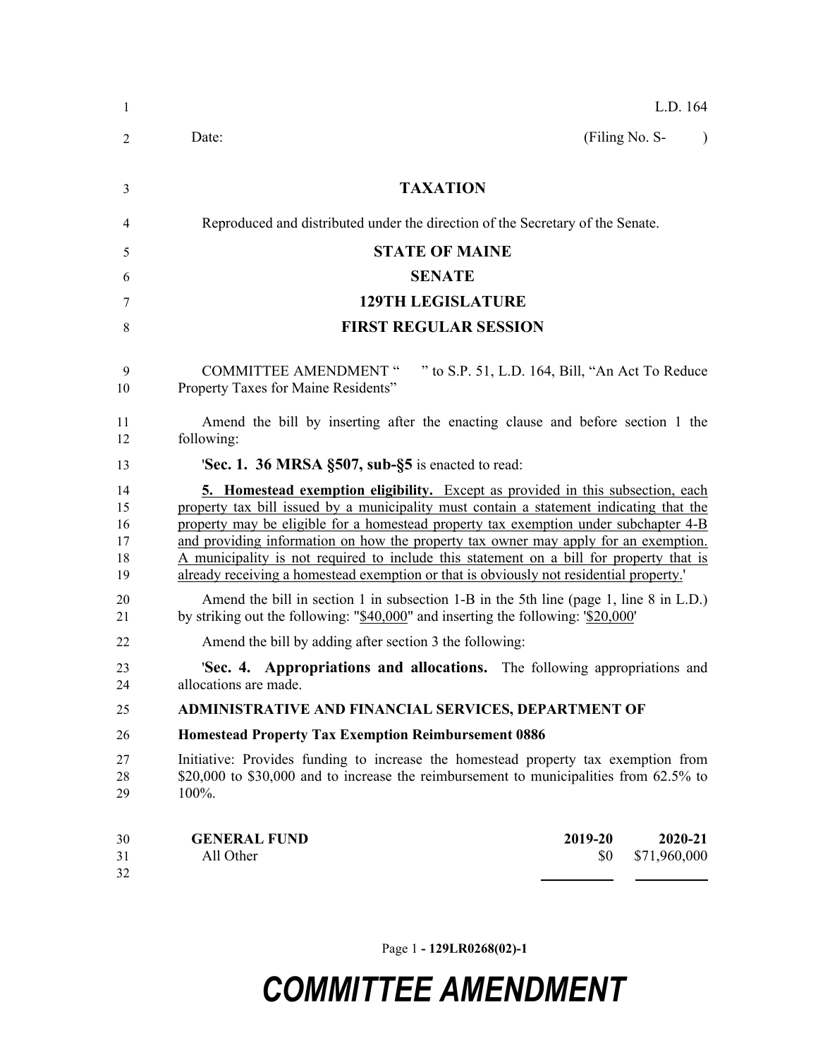| $\mathbf{1}$                     | L.D. 164                                                                                                                                                                                                                                                                                                                                                                                                                                                                                                                                              |  |  |  |
|----------------------------------|-------------------------------------------------------------------------------------------------------------------------------------------------------------------------------------------------------------------------------------------------------------------------------------------------------------------------------------------------------------------------------------------------------------------------------------------------------------------------------------------------------------------------------------------------------|--|--|--|
| 2                                | (Filing No. S-<br>Date:<br>$\lambda$                                                                                                                                                                                                                                                                                                                                                                                                                                                                                                                  |  |  |  |
| 3                                | <b>TAXATION</b>                                                                                                                                                                                                                                                                                                                                                                                                                                                                                                                                       |  |  |  |
| 4                                | Reproduced and distributed under the direction of the Secretary of the Senate.                                                                                                                                                                                                                                                                                                                                                                                                                                                                        |  |  |  |
| 5                                | <b>STATE OF MAINE</b>                                                                                                                                                                                                                                                                                                                                                                                                                                                                                                                                 |  |  |  |
| 6                                | <b>SENATE</b>                                                                                                                                                                                                                                                                                                                                                                                                                                                                                                                                         |  |  |  |
| 7                                | <b>129TH LEGISLATURE</b>                                                                                                                                                                                                                                                                                                                                                                                                                                                                                                                              |  |  |  |
| 8                                | <b>FIRST REGULAR SESSION</b>                                                                                                                                                                                                                                                                                                                                                                                                                                                                                                                          |  |  |  |
| 9<br>10                          | " to S.P. 51, L.D. 164, Bill, "An Act To Reduce<br><b>COMMITTEE AMENDMENT "</b><br>Property Taxes for Maine Residents"                                                                                                                                                                                                                                                                                                                                                                                                                                |  |  |  |
| 11<br>12                         | Amend the bill by inserting after the enacting clause and before section 1 the<br>following:                                                                                                                                                                                                                                                                                                                                                                                                                                                          |  |  |  |
| 13                               | 'Sec. 1. 36 MRSA §507, sub-§5 is enacted to read:                                                                                                                                                                                                                                                                                                                                                                                                                                                                                                     |  |  |  |
| 14<br>15<br>16<br>17<br>18<br>19 | <b>5. Homestead exemption eligibility.</b> Except as provided in this subsection, each<br>property tax bill issued by a municipality must contain a statement indicating that the<br>property may be eligible for a homestead property tax exemption under subchapter 4-B<br>and providing information on how the property tax owner may apply for an exemption.<br>A municipality is not required to include this statement on a bill for property that is<br>already receiving a homestead exemption or that is obviously not residential property. |  |  |  |
| 20<br>21                         | Amend the bill in section 1 in subsection 1-B in the 5th line (page 1, line 8 in L.D.)<br>by striking out the following: " $$40,000$ " and inserting the following: ' $$20,000$ '                                                                                                                                                                                                                                                                                                                                                                     |  |  |  |
| 22                               | Amend the bill by adding after section 3 the following:                                                                                                                                                                                                                                                                                                                                                                                                                                                                                               |  |  |  |
| 23<br>24                         | <b>Sec. 4. Appropriations and allocations.</b> The following appropriations and<br>allocations are made.                                                                                                                                                                                                                                                                                                                                                                                                                                              |  |  |  |
| 25                               | ADMINISTRATIVE AND FINANCIAL SERVICES, DEPARTMENT OF                                                                                                                                                                                                                                                                                                                                                                                                                                                                                                  |  |  |  |
| 26                               | <b>Homestead Property Tax Exemption Reimbursement 0886</b>                                                                                                                                                                                                                                                                                                                                                                                                                                                                                            |  |  |  |
| 27<br>28<br>29                   | Initiative: Provides funding to increase the homestead property tax exemption from<br>\$20,000 to \$30,000 and to increase the reimbursement to municipalities from 62.5% to<br>100%.                                                                                                                                                                                                                                                                                                                                                                 |  |  |  |
| 30<br>31<br>32                   | 2019-20<br><b>GENERAL FUND</b><br>2020-21<br>All Other<br>\$71,960,000<br>\$0                                                                                                                                                                                                                                                                                                                                                                                                                                                                         |  |  |  |

Page 1 **- 129LR0268(02)-1**

## *COMMITTEE AMENDMENT*